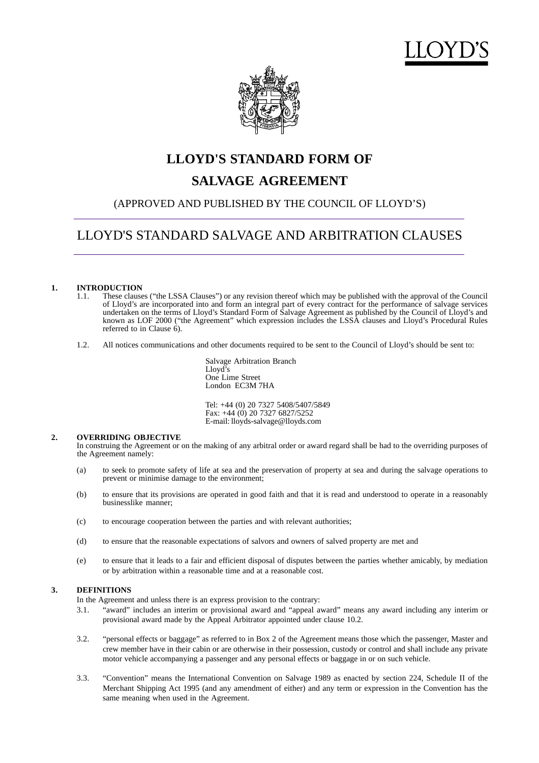



**LLOYD'S STANDARD FORM OF**

## **SALVAGE AGREEMENT**

### (APPROVED AND PUBLISHED BY THE COUNCIL OF LLOYD'S)

# LLOYD'S STANDARD SALVAGE AND ARBITRATION CLAUSES

#### **1. INTRODUCTION**

- 1.1. These clauses ("the LSSA Clauses") or any revision thereof which may be published with the approval of the Council of Lloyd's are incorporated into and form an integral part of every contract for the performance of salvage services undertaken on the terms of Lloyd's Standard Form of Salvage Agreement as published by the Council of Lloyd's and known as LOF 2000 ("the Agreement" which expression includes the LSSA clauses and Lloyd's Procedural Rules referred to in Clause  $\vec{6}$ ).
- 1.2. All notices communications and other documents required to be sent to the Council of Lloyd's should be sent to:

Salvage Arbitration Branch Lloyd's One Lime Street London EC3M 7HA

Tel: +44 (0) 20 7327 5408/5407/5849 Fax: +44 (0) 20 7327 6827/5252 E-mail: lloyds-salvage@lloyds.com

#### **2. OVERRIDING OBJECTIVE**

In construing the Agreement or on the making of any arbitral order or award regard shall be had to the overriding purposes of the Agreement namely:

- (a) to seek to promote safety of life at sea and the preservation of property at sea and during the salvage operations to prevent or minimise damage to the environment;
- (b) to ensure that its provisions are operated in good faith and that it is read and understood to operate in a reasonably businesslike manner;
- (c) to encourage cooperation between the parties and with relevant authorities;
- (d) to ensure that the reasonable expectations of salvors and owners of salved property are met and
- (e) to ensure that it leads to a fair and efficient disposal of disputes between the parties whether amicably, by mediation or by arbitration within a reasonable time and at a reasonable cost.

#### **3. DEFINITIONS**

In the Agreement and unless there is an express provision to the contrary:

- 3.1. "award" includes an interim or provisional award and "appeal award" means any award including any interim or provisional award made by the Appeal Arbitrator appointed under clause 10.2.
- 3.2. "personal effects or baggage" as referred to in Box 2 of the Agreement means those which the passenger, Master and crew member have in their cabin or are otherwise in their possession, custody or control and shall include any private motor vehicle accompanying a passenger and any personal effects or baggage in or on such vehicle.
- 3.3. "Convention" means the International Convention on Salvage 1989 as enacted by section 224, Schedule II of the Merchant Shipping Act 1995 (and any amendment of either) and any term or expression in the Convention has the same meaning when used in the Agreement.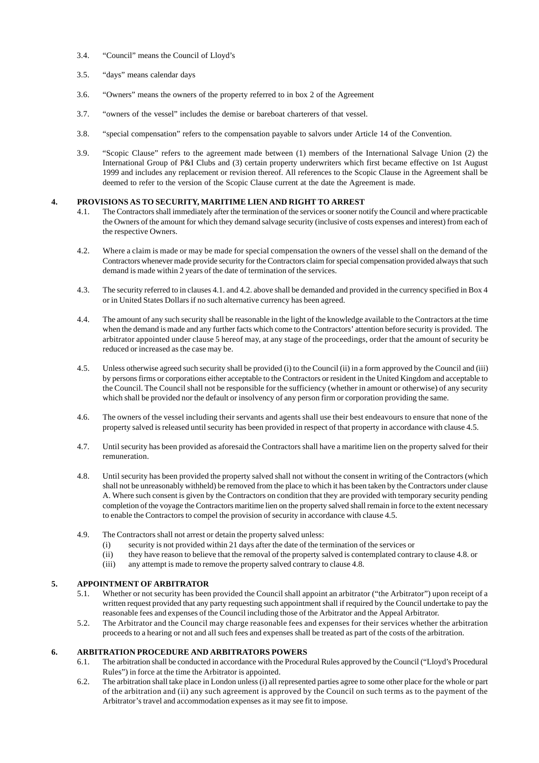- 3.4. "Council" means the Council of Lloyd's
- 3.5. "days" means calendar days
- 3.6. "Owners" means the owners of the property referred to in box 2 of the Agreement
- 3.7. "owners of the vessel" includes the demise or bareboat charterers of that vessel.
- 3.8. "special compensation" refers to the compensation payable to salvors under Article 14 of the Convention.
- 3.9. "Scopic Clause" refers to the agreement made between (1) members of the International Salvage Union (2) the International Group of P&I Clubs and (3) certain property underwriters which first became effective on 1st August 1999 and includes any replacement or revision thereof. All references to the Scopic Clause in the Agreement shall be deemed to refer to the version of the Scopic Clause current at the date the Agreement is made.

#### **4. PROVISIONS AS TO SECURITY, MARITIME LIEN AND RIGHT TO ARREST**

- 4.1. The Contractors shall immediately after the termination of the services or sooner notify the Council and where practicable the Owners of the amount for which they demand salvage security (inclusive of costs expenses and interest) from each of the respective Owners.
- 4.2. Where a claim is made or may be made for special compensation the owners of the vessel shall on the demand of the Contractors whenever made provide security for the Contractors claim for special compensation provided always that such demand is made within 2 years of the date of termination of the services.
- 4.3. The security referred to in clauses 4.1. and 4.2. above shall be demanded and provided in the currency specified in Box 4 or in United States Dollars if no such alternative currency has been agreed.
- 4.4. The amount of any such security shall be reasonable in the light of the knowledge available to the Contractors at the time when the demand is made and any further facts which come to the Contractors' attention before security is provided. The arbitrator appointed under clause 5 hereof may, at any stage of the proceedings, order that the amount of security be reduced or increased as the case may be.
- 4.5. Unless otherwise agreed such security shall be provided (i) to the Council (ii) in a form approved by the Council and (iii) by persons firms or corporations either acceptable to the Contractors or resident in the United Kingdom and acceptable to the Council. The Council shall not be responsible for the sufficiency (whether in amount or otherwise) of any security which shall be provided nor the default or insolvency of any person firm or corporation providing the same.
- 4.6. The owners of the vessel including their servants and agents shall use their best endeavours to ensure that none of the property salved is released until security has been provided in respect of that property in accordance with clause 4.5.
- 4.7. Until security has been provided as aforesaid the Contractors shall have a maritime lien on the property salved for their remuneration.
- 4.8. Until security has been provided the property salved shall not without the consent in writing of the Contractors (which shall not be unreasonably withheld) be removed from the place to which it has been taken by the Contractors under clause A. Where such consent is given by the Contractors on condition that they are provided with temporary security pending completion of the voyage the Contractors maritime lien on the property salved shall remain in force to the extent necessary to enable the Contractors to compel the provision of security in accordance with clause 4.5.
- 4.9. The Contractors shall not arrest or detain the property salved unless:
	- (i) security is not provided within 21 days after the date of the termination of the services or
	- (ii) they have reason to believe that the removal of the property salved is contemplated contrary to clause 4.8. or
	- (iii) any attempt is made to remove the property salved contrary to clause 4.8.

#### **5. APPOINTMENT OF ARBITRATOR**

- 5.1. Whether or not security has been provided the Council shall appoint an arbitrator ("the Arbitrator") upon receipt of a written request provided that any party requesting such appointment shall if required by the Council undertake to pay the reasonable fees and expenses of the Council including those of the Arbitrator and the Appeal Arbitrator.
- 5.2. The Arbitrator and the Council may charge reasonable fees and expenses for their services whether the arbitration proceeds to a hearing or not and all such fees and expenses shall be treated as part of the costs of the arbitration.

#### **6. ARBITRATION PROCEDURE AND ARBITRATORS POWERS**

- 6.1. The arbitration shall be conducted in accordance with the Procedural Rules approved by the Council ("Lloyd's Procedural Rules") in force at the time the Arbitrator is appointed.
- 6.2. The arbitration shall take place in London unless (i) all represented parties agree to some other place for the whole or part of the arbitration and (ii) any such agreement is approved by the Council on such terms as to the payment of the Arbitrator's travel and accommodation expenses as it may see fit to impose.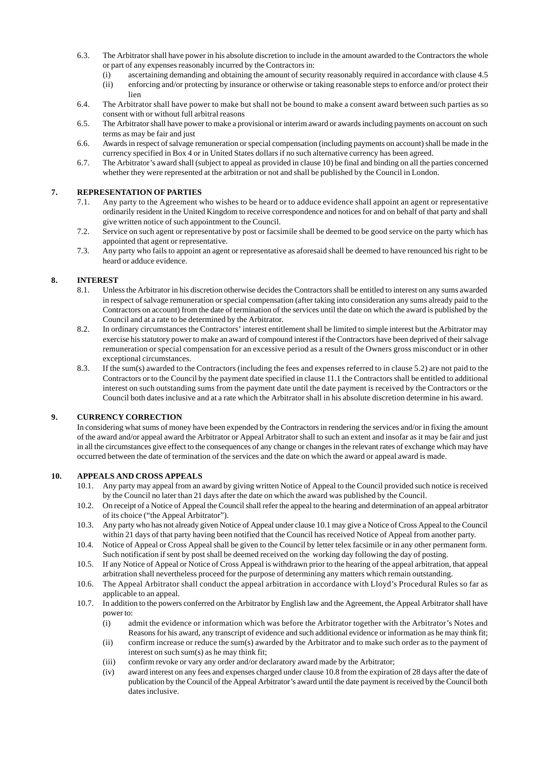- 6.3. The Arbitrator shall have power in his absolute discretion to include in the amount awarded to the Contractors the whole or part of any expenses reasonably incurred by the Contractors in:
	- (i) ascertaining demanding and obtaining the amount of security reasonably required in accordance with clause 4.5
	- (ii) enforcing and/or protecting by insurance or otherwise or taking reasonable steps to enforce and/or protect their lien
- 6.4. The Arbitrator shall have power to make but shall not be bound to make a consent award between such parties as so consent with or without full arbitral reasons
- 6.5. The Arbitrator shall have power to make a provisional or interim award or awards including payments on account on such terms as may be fair and just
- 6.6. Awards in respect of salvage remuneration or special compensation (including payments on account) shall be made in the currency specified in Box 4 or in United States dollars if no such alternative currency has been agreed.
- 6.7. The Arbitrator's award shall (subject to appeal as provided in clause 10) be final and binding on all the parties concerned whether they were represented at the arbitration or not and shall be published by the Council in London.

#### **7. REPRESENTATION OF PARTIES**

- 7.1. Any party to the Agreement who wishes to be heard or to adduce evidence shall appoint an agent or representative ordinarily resident in the United Kingdom to receive correspondence and notices for and on behalf of that party and shall give written notice of such appointment to the Council.
- 7.2. Service on such agent or representative by post or facsimile shall be deemed to be good service on the party which has appointed that agent or representative.
- 7.3. Any party who fails to appoint an agent or representative as aforesaid shall be deemed to have renounced his right to be heard or adduce evidence.

#### **8. INTEREST**

- 8.1. Unless the Arbitrator in his discretion otherwise decides the Contractors shall be entitled to interest on any sums awarded in respect of salvage remuneration or special compensation (after taking into consideration any sums already paid to the Contractors on account) from the date of termination of the services until the date on which the award is published by the Council and at a rate to be determined by the Arbitrator.
- 8.2. In ordinary circumstances the Contractors' interest entitlement shall be limited to simple interest but the Arbitrator may exercise his statutory power to make an award of compound interest if the Contractors have been deprived of their salvage remuneration or special compensation for an excessive period as a result of the Owners gross misconduct or in other exceptional circumstances.
- 8.3. If the sum(s) awarded to the Contractors (including the fees and expenses referred to in clause 5.2) are not paid to the Contractors or to the Council by the payment date specified in clause 11.1 the Contractors shall be entitled to additional interest on such outstanding sums from the payment date until the date payment is received by the Contractors or the Council both dates inclusive and at a rate which the Arbitrator shall in his absolute discretion determine in his award.

#### **9. CURRENCY CORRECTION**

In considering what sums of money have been expended by the Contractors in rendering the services and/or in fixing the amount of the award and/or appeal award the Arbitrator or Appeal Arbitrator shall to such an extent and insofar as it may be fair and just in all the circumstances give effect to the consequences of any change or changes in the relevant rates of exchange which may have occurred between the date of termination of the services and the date on which the award or appeal award is made.

#### **10. APPEALS AND CROSS APPEALS**

- 10.1. Any party may appeal from an award by giving written Notice of Appeal to the Council provided such notice is received by the Council no later than 21 days after the date on which the award was published by the Council.
- 10.2. On receipt of a Notice of Appeal the Council shall refer the appeal to the hearing and determination of an appeal arbitrator of its choice ("the Appeal Arbitrator").
- 10.3. Any party who has not already given Notice of Appeal under clause 10.1 may give a Notice of Cross Appeal to the Council within 21 days of that party having been notified that the Council has received Notice of Appeal from another party.
- 10.4. Notice of Appeal or Cross Appeal shall be given to the Council by letter telex facsimile or in any other permanent form. Such notification if sent by post shall be deemed received on the working day following the day of posting.
- 10.5. If any Notice of Appeal or Notice of Cross Appeal is withdrawn prior to the hearing of the appeal arbitration, that appeal arbitration shall nevertheless proceed for the purpose of determining any matters which remain outstanding.
- 10.6. The Appeal Arbitrator shall conduct the appeal arbitration in accordance with Lloyd's Procedural Rules so far as applicable to an appeal.
- 10.7. In addition to the powers conferred on the Arbitrator by English law and the Agreement, the Appeal Arbitrator shall have power to:
	- (i) admit the evidence or information which was before the Arbitrator together with the Arbitrator's Notes and Reasons for his award, any transcript of evidence and such additional evidence or information as he may think fit;
	- (ii) confirm increase or reduce the sum(s) awarded by the Arbitrator and to make such order as to the payment of interest on such sum(s) as he may think fit;
	- (iii) confirm revoke or vary any order and/or declaratory award made by the Arbitrator;
	- (iv) award interest on any fees and expenses charged under clause 10.8 from the expiration of 28 days after the date of publication by the Council of the Appeal Arbitrator's award until the date payment is received by the Council both dates inclusive.